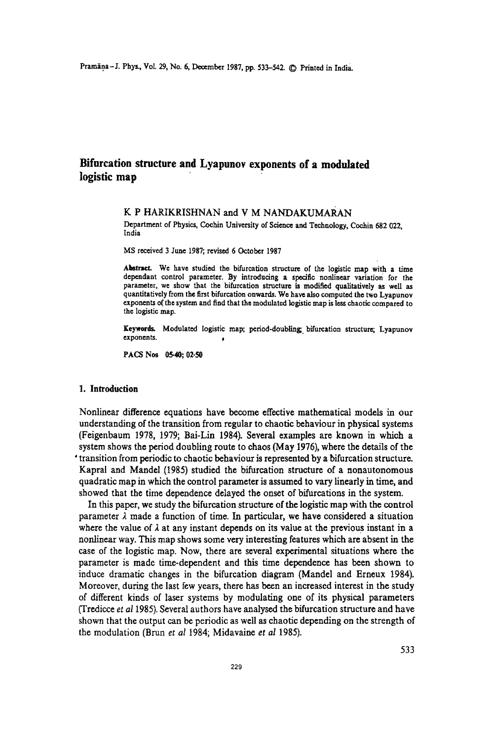# **Bifurcation structure and Lyapunov exponents of a modulated logistic map'**

### K P HARIKRISHNAN and V M NANDAKUMARAN

Department of Physics, Cochin University of Science and Technology, Cochin 682 022, India

MS received 3 June 1987; revised 6 October 1987

Abstract. We have studied the bifurcation structure of the logistic map with a time dependant control parameter. By introducing a specific nonlinear variation for the parameter, we show that the bifurcation structure is modified qualitatively as well as quantitatively from the first bifurcation onwards. We have also computed the two Lyapunov exponents o( the system and find that the modulated logistic map is less chaotic compared to the logistic map.

Keywords. Modulated logistic map; period-doubling bifurcation structure; Lyapunov exponents.

PACS Nos 05-40; 02-50

## 1. **Introduction**

Nonlinear difference equations have become effective mathematical models in our understanding of the transition from regular to chaotic behaviour in physical systems (Feigenbaum 1978, 1979; Bai-Lin 1984). Several examples are known in which a system shows the period doubling route to chaos (May 1976), where the details of the • transition from periodic to chaotic behaviour is represented by a bifurcation structure. Kapral and Mandel (1985) studied the bifurcation structure of a nonautonomous quadratic map in which the control parameter is assumed to vary linearly in time, and showed that the time dependence delayed the onset of bifurcations in the system.

In this paper, we study the bifurcation structure of the logistic map with the control parameter  $\lambda$  made a function of time. In particular, we have considered a situation where the value of  $\lambda$  at any instant depends on its value at the previous instant in a nonlinear way. This map shows some very interesting features which are absent in the case of the logistic map. Now, there are several experimental situations where the parameter is made time-dependent and this time dependence has been shown to induce dramatic changes in the bifurcation diagram (Mandel and Erneux 1984). Moreover, during the last few years, there has been an increased interest in the study of different kinds of laser systems by modulating one of its physical parameters (Tredicce *et aI1985).* Several authors have analysed the bifurcation structure and have shown that the output can be periodic as well as chaotic depending on the strength of the modulation (Brun *et at* 1984; Midavaine *et al 1985).*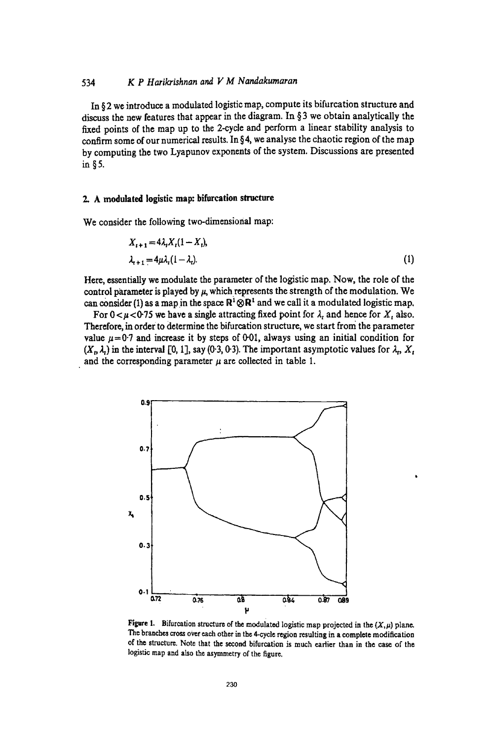# *534 K P H arikrishnan and V M N andakumaran*

In § 2 we introduce a modulated logistic map. compute its bifurcation structure and discuss the new features that appear in the diagram. In § 3 we obtain analytically the fixed points of the map up to the 2-cycle and perform a linear stability analysis to confirm some of our numerical results. In § 4, we analyse the chaotic region of the map by computing the two Lyapunov exponents of the system. Discussions are presented in §S.

# 2. A modulated logistic map: bifurcation structure

We consider the following two-dimensional map:

$$
X_{i+1} = 4\lambda_i X_i (1 - X_i),
$$
  
\n
$$
\lambda_{i+1} = 4\mu \lambda_i (1 - \lambda_i).
$$
 (1)

Here, essentially we modulate the parameter of the logistic map. Now, the role of the control parameter is played by  $\mu$ , which represents the strength of the modulation. We can consider (1) as a map in the space  $\mathbb{R}^1 \otimes \mathbb{R}^1$  and we call it a modulated logistic map.

For  $0 < \mu < 0.75$  we have a single attracting fixed point for  $\lambda_t$  and hence for  $X_t$  also. Therefore, in order to determine the bifurcation structure, we start from the parameter value  $\mu$ =0.7 and increase it by steps of 0.01, always using an initial condition for  $(X_t, \lambda_t)$  in the interval [0, 1], say (0.3, 0.3). The important asymptotic values for  $\lambda_t$ ,  $X_t$ and the corresponding parameter  $\mu$  are collected in table 1.



Figure 1. Bifurcation structure of the modulated logistic map projected in the  $(X, \mu)$  plane. The branches cross over each other in the 4-cycle region resulting in a complete modification of the structure. Note that the second bifurcation is much earlier than in the case of the logistic map and also the asymmetry of the figure.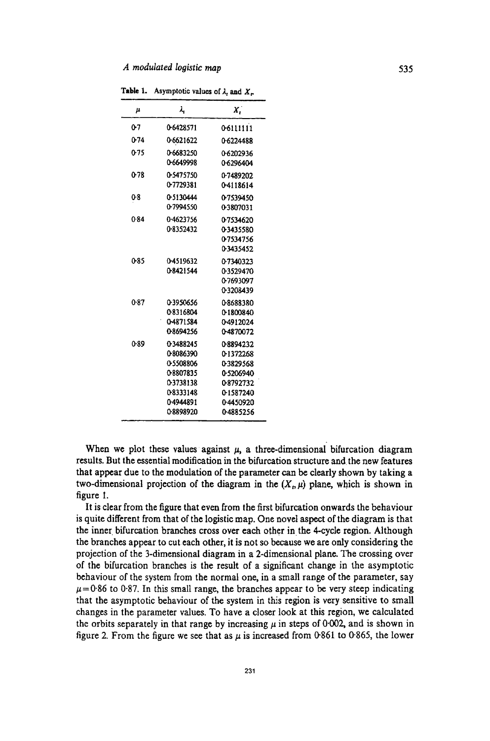| μ    | λ,                                                                                                | Χ,                                                                                                 |
|------|---------------------------------------------------------------------------------------------------|----------------------------------------------------------------------------------------------------|
| 0-7  | 0-6428571                                                                                         | 0-6111111                                                                                          |
| 0-74 | 0-6621622                                                                                         | 0.6224488                                                                                          |
| 0.75 | 0-6683250<br>0-6649998                                                                            | 0.6202936<br>0-6296404                                                                             |
| 0.78 | 0-5475750<br>0-7729381                                                                            | 0.7489202<br>04118614                                                                              |
| 08   | 0-5130444<br>0.7994550                                                                            | 0.7539450<br>0.3807031                                                                             |
| 0.84 | 0-4623756<br>0.8352432                                                                            | 0-7534620<br>0-3435580<br>07534756<br>0-3435452                                                    |
| 0-85 | 0-4519632<br>0-8421544                                                                            | 0.7340323<br>0.3529470<br>0-7693097<br>0-3208439                                                   |
| 0.87 | 0.3950656<br>0-8316804<br>0-4871584<br>0-8694256                                                  | 08688380<br>0-1800840<br>0-4912024<br>0-4870072                                                    |
| 0-89 | 0.3488245<br>08086390<br>05508806<br>0-8807835<br>0-3738138<br>08333148<br>0-4944891<br>0-8898920 | 08894232<br>0-1372268<br>0-3829568<br>0-5206940<br>0-8792732<br>0-1587240<br>0.4450920<br>04885256 |
|      |                                                                                                   |                                                                                                    |

**Table 1.** Asymptotic values of  $\lambda$ , and  $X_r$ .

When we plot these values against  $\mu$ , a three-dimensional bifurcation diagram results. But the essential modification in the bifurcation structure and the new features that appear due to the modulation of the parameter can be clearly shown by taking a two-dimensional projection of the diagram in the  $(X, \mu)$  plane, which is shown in figure 1.

It is clear from the figure that even from the first bifurcation onwards the behaviour is quite different from that of the logistic map. One novel aspect of the diagram is that the inner bifurcation branches cross over each other in the 4-cycle region. Although the branches appear to cut each other, it is not so because we are only considering the projection of the 3-dimensional diagram in a 2-dimensional plane. The crossing over of the bifurcation branches is the result of a significant change in the asymptotic behaviour of the system from the normal one, in a small range of the parameter, say  $\mu$ =0.86 to 0.87. In this small range, the branches appear to be very steep indicating that the asymptotic behaviour of the system in this region is very sensitive to small changes in the parameter values. To have a closer look at thjs region, we calculated the orbits separately in that range by increasing  $\mu$  in steps of 0·002, and is shown in figure 2. From the figure we see that as  $\mu$  is increased from 0-861 to 0.865, the lower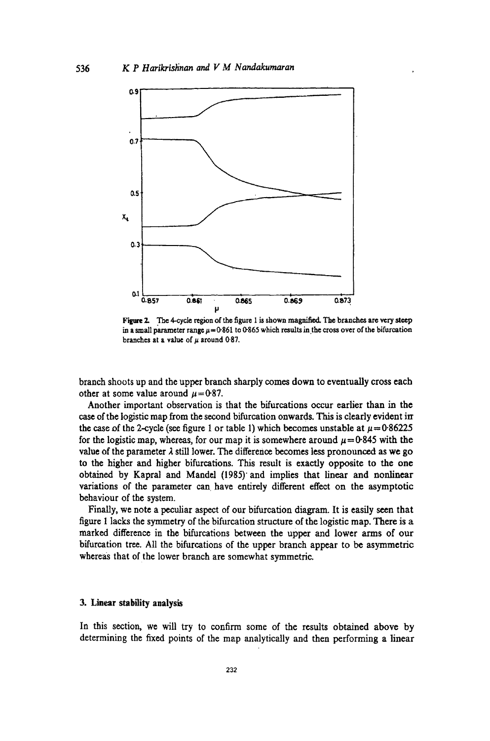

Figure 2. The 4-cycle region of the figure 1 is shown magnified. The branches are very steep in a small parameter range  $\mu$  = 0.861 to 0.865 which results in the cross over of the bifurcation branches at a value of  $\mu$  around 0.87.

branch shoots up and the upper branch sharply comes down to eventually cross each other at some value around  $\mu$ =0.87.

Another important observation is that the bifurcations occur earlier than in the case of the logistic map from the second bifurcation onwards. This is clearly evident in the case of the 2-cycle (see figure 1 or table 1) which becomes unstable at  $\mu = 0.86225$ for the logistic map, whereas, for our map it is somewhere around  $\mu = 0.845$  with the value of the parameter  $\lambda$  still lower. The difference becomes less pronounced as we go to the higher and higher bifurcations. This result is exactly opposite to the one obtained by Kapral and Mandel (1985)' and implies that linear and nonlinear variations of the parameter can have entirely different effect on the asymptotic behaviour of the system.

Finally, we note a peculiar aspect of our bifurcation diagram. It is easily seen that figure 1 lacks the symmetry of the bifurcation structure of the logistic map. There is a marked difference in the bifurcations between the upper and lower arms of our bifurcation tree. All the bifurcations of the upper branch appear to be asymmetric whereas that of the lower branch are somewhat symmetric.

## 3. Linear stability analysis

In this section, we will try to confirm some of the results obtained above by determining the fixed points of the map analytically and then performing a linear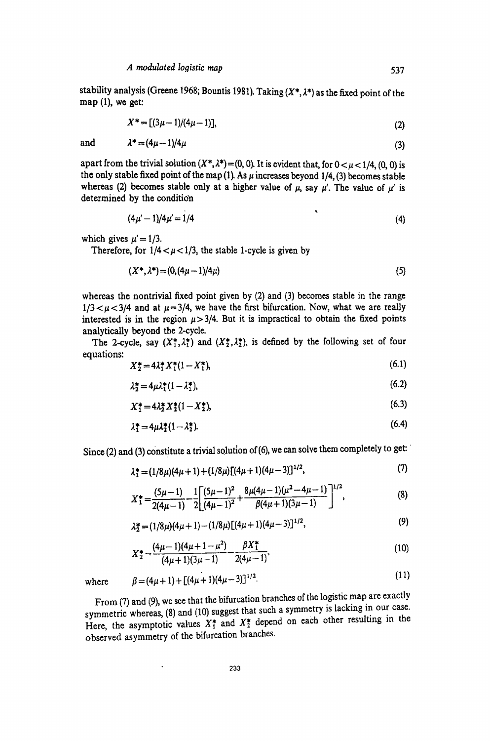stability analysis (Greene 1968; Bountis 1981). Taking  $(X^*, \lambda^*)$  as the fixed point of the map (1), we get:

$$
X^* = [(3\mu - 1)/(4\mu - 1)], \tag{2}
$$

$$
\lambda^* = (4\mu - 1)/4\mu \tag{3}
$$

apart from the trivial solution  $(X^*, \lambda^*) = (0, 0)$ . It is evident that, for  $0 < \mu < 1/4$ , (0, 0) is the only stable fixed point of the map (1). As  $\mu$  increases beyond 1/4, (3) becomes stable whereas (2) becomes stable only at a higher value of  $\mu$ , say  $\mu'$ . The value of  $\mu'$  is determined by the condition

$$
(4\mu'-1)/4\mu'=1/4 \tag{4}
$$

 $\ddot{\phantom{a}}$ 

which gives  $\mu' = 1/3$ .

and

Therefore, for  $1/4 < \mu < 1/3$ , the stable 1-cycle is given by

$$
(X^*, \lambda^*) = (0, (4\mu - 1)/4\mu) \tag{5}
$$

whereas the nontrivial fixed point given by (2) and (3) becomes stable in the range  $1/3 < \mu < 3/4$  and at  $\mu = 3/4$ , we have the first bifurcation. Now, what we are really interested is in the region  $\mu$ > 3/4. But it is impractical to obtain the fixed points analytically beyond the 2-cycle.

The 2-cycle, say  $(X_1^*, \lambda_1^*)$  and  $(X_2^*, \lambda_2^*)$ , is defined by the following set of four equations:

$$
X_2^* = 4\lambda_1^* X_1^* (1 - X_1^*), \tag{6.1}
$$

$$
\lambda_2^* = 4\mu \lambda_1^* (1 - \lambda_1^*),\tag{6.2}
$$

$$
X_1^* = 4\lambda_2^* X_2^* (1 - X_2^*),\tag{6.3}
$$

$$
\lambda_1^* = 4\mu \lambda_2^* (1 - \lambda_2^*). \tag{6.4}
$$

Since  $(2)$  and  $(3)$  constitute a trivial solution of  $(6)$ , we can solve them completely to get:

$$
\lambda_1^* = (1/8\mu)(4\mu + 1) + (1/8\mu)[(4\mu + 1)(4\mu - 3)]^{1/2},
$$
\n(7)

$$
X_1^* = \frac{(5\mu - 1)}{2(4\mu - 1)} - \frac{1}{2} \left[ \frac{(5\mu - 1)^2}{(4\mu - 1)^2} + \frac{8\mu(4\mu - 1)(\mu^2 - 4\mu - 1)}{\beta(4\mu + 1)(3\mu - 1)} \right]^{1/2},
$$
(8)

$$
\lambda_2^* = (1/8\mu)(4\mu + 1) - (1/8\mu)[(4\mu + 1)(4\mu - 3)]^{1/2},
$$
\n(9)

$$
X_{2}^{*} = \frac{(4\mu - 1)(4\mu + 1 - \mu^{2})}{(4\mu + 1)(3\mu - 1)} - \frac{\beta X_{1}^{*}}{2(4\mu - 1)},
$$
\n(10)

$$
\beta = (4\mu + 1) + [(4\mu + 1)(4\mu - 3)]^{1/2}.
$$
\n(11)

where

From (7) and (9), we see that the bifurcation branches of the logistic map are exactly From (*i*) and (9), we see that the bifulcation bulleties of the contract of symmetric whereas, (8) and (10) suggest that such a symmetry is lacking in our case. symmetric whereas, (8) and (10) suggest that such a symmetry is called g<br>Here, the asymptotic values  $X_1^*$  and  $X_2^*$  depend on each other resulting in the observed asymmetry of the bifurcation branches.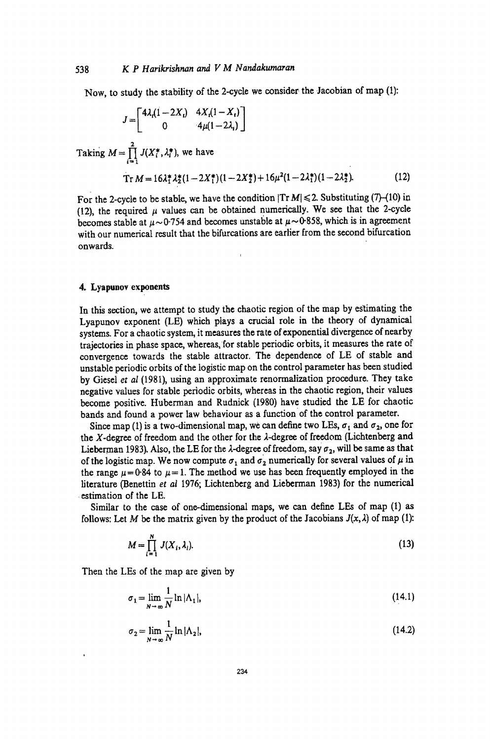Now, to study the stability of the 2-cycle we consider the Jacobian of map (1):

$$
J = \begin{bmatrix} 4\lambda_t(1-2X_t) & 4X_t(1-X_t) \\ 0 & 4\mu(1-2\lambda_t) \end{bmatrix}
$$

Taking  $M = \prod_{i=1}^{2} J(X_i^*, \lambda_i^*)$ , we have

$$
\operatorname{Tr} M = 16\lambda_1^* \lambda_2^* (1 - 2X_1^*) (1 - 2X_2^*) + 16\mu^2 (1 - 2\lambda_1^*) (1 - 2\lambda_2^*). \tag{12}
$$

For the 2-cycle to be stable, we have the condition  $|Tr M| \le 2$ . Substituting (7)-(10) in (12), the required  $\mu$  values can be obtained numerically. We see that the 2-cycle becomes stable at  $\mu \sim 0.754$  and becomes unstable at  $\mu \sim 0.858$ , which is in agreement with our numerical result that the bifurcations are earlier from the second bifurcation onwards.

# 4. Lyapunov exponents

In this section, we attempt to study the chaotic region of the map by estimating the Lyapunov exponent (LE) which plays a crucial role in the theory of dynamical systems. For a chaotic system, it measures the rate of exponential divergence of nearby trajectories in phase space, whereas, for stable periodic orbits, it measures the rate of convergence towards the stable attractor. The dependence of LE of stable and unstable periodic orbits of the logistic map on the control parameter has been studied by Giesel *et al* (1981), using an approximate renormalization procedure. They take negative values for stable periodic orbits, whereas in the chaotic region, their values become positive. Huberman and Rudnick (1980) have studied the LE for chaotic bands and found a power law behaviour as a function of the control parameter.

Since map (1) is a two-dimensional map, we can define two LEs,  $\sigma_1$  and  $\sigma_2$ , one for the  $X$ -degree of freedom and the other for the  $\lambda$ -degree of freedom (Lichtenberg and Lieberman 1983). Also, the LE for the  $\lambda$ -degree of freedom, say  $\sigma_2$ , will be same as that of the logistic map. We now compute  $\sigma_1$  and  $\sigma_2$  numerically for several values of  $\mu$  in the range  $\mu = 0.84$  to  $\mu = 1$ . The method we use has been frequently employed in the literature (Benettin *et al* 1976; Lichtenberg and Lieberman 1983) for the numerical . estimation of the LE.

Similar to the case of one-dimensional maps, we can define LEs of map (1) as follows: Let M be the matrix given by the product of the Jacobians  $J(x, \lambda)$  of map (1):

$$
M = \prod_{i=1}^{N} J(X_i, \lambda_i). \tag{13}
$$

Then the LEs of the map are given by

$$
\sigma_1 = \lim_{N \to \infty} \frac{1}{N} \ln |\Lambda_1|,\tag{14.1}
$$

$$
\sigma_2 = \lim_{N \to \infty} \frac{1}{N} \ln |\Lambda_2|,\tag{14.2}
$$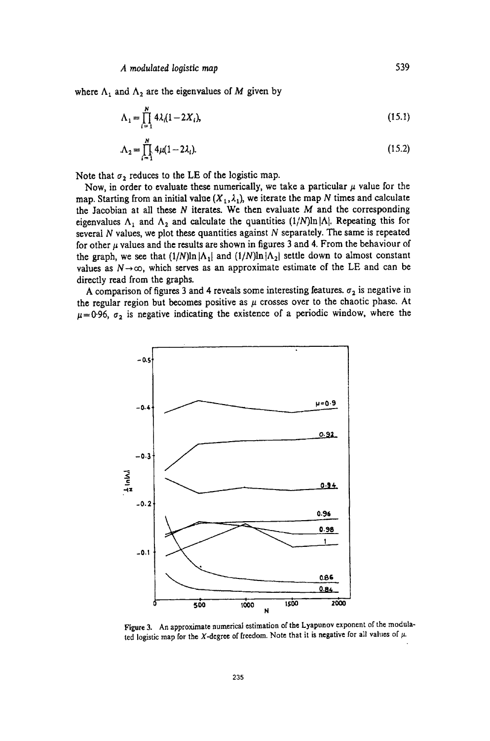where  $\Lambda_1$  and  $\Lambda_2$  are the eigenvalues of M given by

$$
\Lambda_1 = \prod_{i=1}^{N} 4\lambda_i (1 - 2X_i),
$$
\n(15.1)

$$
\Lambda_2 = \prod_{i=1}^N 4\mu (1 - 2\lambda_i). \tag{15.2}
$$

Note that  $\sigma_2$  reduces to the LE of the logistic map.

Now, in order to evaluate these numerically, we take a particular  $\mu$  value for the map. Starting from an initial value  $(X_1, \lambda_1)$ , we iterate the map *N* times and calculate the Jacobian at all these  $N$  iterates. We then evaluate  $M$  and the corresponding eigenvalues  $\Lambda_1$  and  $\Lambda_2$  and calculate the quantities  $(1/N)\ln |\Lambda|$ . Repeating this for several  $N$  values, we plot these quantities against  $N$  separately. The same is repeated for other  $\mu$  values and the results are shown in figures 3 and 4. From the behaviour of the graph, we see that  $(1/N)\ln|\Lambda_1|$  and  $(1/N)\ln|\Lambda_2|$  settle down to almost constant values as  $N \rightarrow \infty$ , which serves as an approximate estimate of the LE and can be directly read from the graphs.

A comparison of figures 3 and 4 reveals some interesting features.  $\sigma_2$  is negative in the regular region but becomes positive as  $\mu$  crosses over to the chaotic phase. At  $\mu=0.96$ ,  $\sigma_2$  is negative indicating the existence of a periodic window, where the



Figure 3. An approximate numerical estimation of the Lyapunov exponent of the modulated logistic map for the X-degree of freedom. Note that it is negative for all values of  $\mu$ .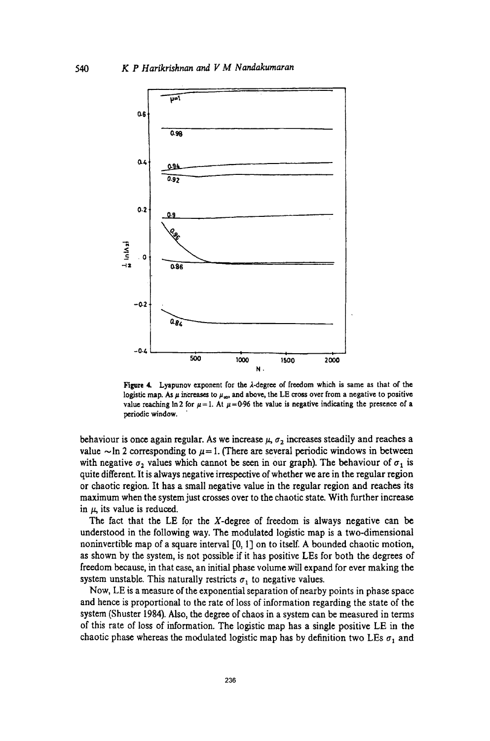

Figure 4. Lyapunov exponent for the  $\lambda$ -degree of freedom which is same as that of the logistic map. As  $\mu$  increases to  $\mu_{\infty}$ , and above, the LE cross over from a negative to positive value reaching  $\ln 2$  for  $\mu = 1$ . At  $\mu = 0.96$  the value is negative indicating the presence of a periodic window. .

behaviour is once again regular. As we increase  $\mu$ ,  $\sigma_2$  increases steadily and reaches a value  $\sim$ In 2 corresponding to  $\mu$ = 1. (There are several periodic windows in between with negative  $\sigma_2$  values which cannot be seen in our graph). The behaviour of  $\sigma_1$  is quite different. It is always negative irrespective of whether we are in the regular region or chaotic region. It has a small negative value in the regular region and reaches its maximum when the system just crosses over to the chaotic state. With further increase in  $\mu$ , its value is reduced.

The fact that the LE for the X-degree of freedom is always negative can be understood in the following way. The modulated logistic map is a two-dimensional noninvertible map of a square interval  $[0, 1]$  on to itself. A bounded chaotic motion, as shown by the system, is not possible if it has positive LEs for both the degrees of freedom because, in that case, an initial phase volume will expand for ever making the system unstable. This naturally restricts  $\sigma_1$  to negative values.

Now, LE is a measure of the exponential separation of nearby points in phase space and hence is proportional to the rate of loss of information regarding the state of the system (Shuster 1984). Also, the degree of chaos in a system can be measured in terms of this rate of loss of information. The logistic map has a single positive LE in the chaotic phase whereas the modulated logistic map has by definition two LEs  $\sigma_1$  and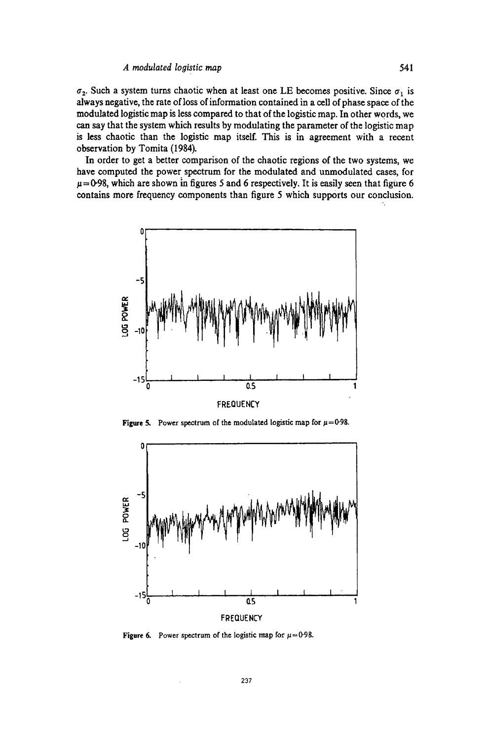$\sigma_2$ . Such a system turns chaotic when at least one LE becomes positive. Since  $\sigma_1$  is always negative, the rate of loss of information contained in a cell of phase space of the modulated logistic map is less compared to that of the logistic map. In other words, we can say that the system which results by modulating the parameter of the logistic map is less chaotic than the logistic map itself. This is in agreement with a recent observation by Tomita (1984).

In order to get a better comparison of the chaotic regions of the two systems, we have computed the power spectrum for the modulated and unmodulated cases, for  $\mu$ =0.98, which are shown in figures 5 and 6 respectively. It is easily seen that figure 6 contains more frequency components than figure 5 which supports our conclusion.



Figure 5. Power spectrum of the modulated logistic map for  $\mu$ =0.98.



Figure 6. Power spectrum of the logistic map for  $\mu$ =0-98.